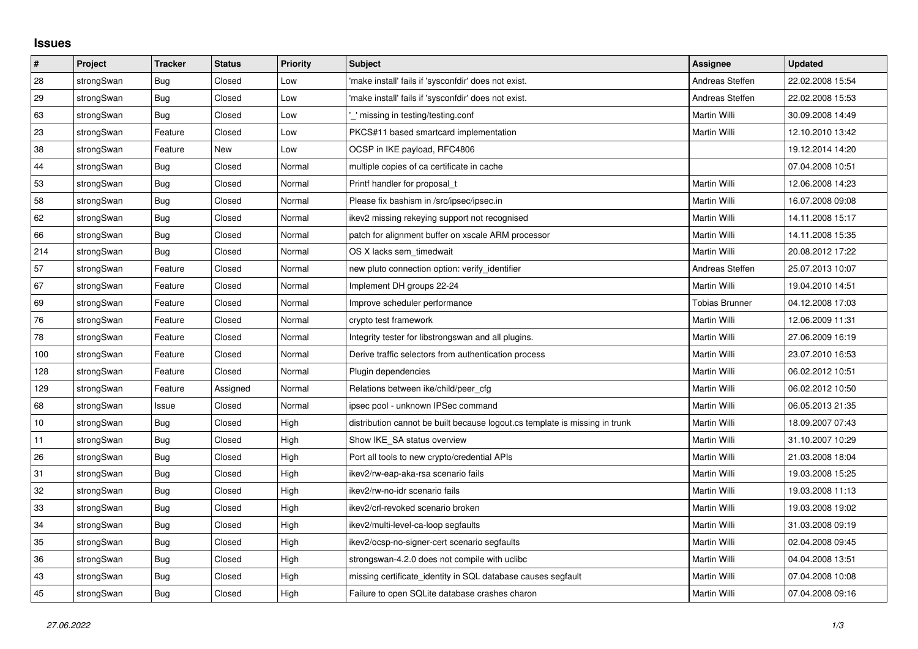## **Issues**

| #   | Project    | <b>Tracker</b> | <b>Status</b> | Priority | <b>Subject</b>                                                              | <b>Assignee</b> | <b>Updated</b>   |
|-----|------------|----------------|---------------|----------|-----------------------------------------------------------------------------|-----------------|------------------|
| 28  | strongSwan | Bug            | Closed        | Low      | 'make install' fails if 'sysconfdir' does not exist.                        | Andreas Steffen | 22.02.2008 15:54 |
| 29  | strongSwan | Bug            | Closed        | Low      | 'make install' fails if 'sysconfdir' does not exist.                        | Andreas Steffen | 22.02.2008 15:53 |
| 63  | strongSwan | Bug            | Closed        | Low      | missing in testing/testing.conf                                             | Martin Willi    | 30.09.2008 14:49 |
| 23  | strongSwan | Feature        | Closed        | Low      | PKCS#11 based smartcard implementation                                      | Martin Willi    | 12.10.2010 13:42 |
| 38  | strongSwan | Feature        | <b>New</b>    | Low      | OCSP in IKE payload, RFC4806                                                |                 | 19.12.2014 14:20 |
| 44  | strongSwan | Bug            | Closed        | Normal   | multiple copies of ca certificate in cache                                  |                 | 07.04.2008 10:51 |
| 53  | strongSwan | Bug            | Closed        | Normal   | Printf handler for proposal t                                               | Martin Willi    | 12.06.2008 14:23 |
| 58  | strongSwan | Bug            | Closed        | Normal   | Please fix bashism in /src/ipsec/ipsec.in                                   | Martin Willi    | 16.07.2008 09:08 |
| 62  | strongSwan | Bug            | Closed        | Normal   | ikev2 missing rekeying support not recognised                               | Martin Willi    | 14.11.2008 15:17 |
| 66  | strongSwan | Bug            | Closed        | Normal   | patch for alignment buffer on xscale ARM processor                          | Martin Willi    | 14.11.2008 15:35 |
| 214 | strongSwan | Bug            | Closed        | Normal   | OS X lacks sem_timedwait                                                    | Martin Willi    | 20.08.2012 17:22 |
| 57  | strongSwan | Feature        | Closed        | Normal   | new pluto connection option: verify identifier                              | Andreas Steffen | 25.07.2013 10:07 |
| 67  | strongSwan | Feature        | Closed        | Normal   | Implement DH groups 22-24                                                   | Martin Willi    | 19.04.2010 14:51 |
| 69  | strongSwan | Feature        | Closed        | Normal   | Improve scheduler performance                                               | Tobias Brunner  | 04.12.2008 17:03 |
| 76  | strongSwan | Feature        | Closed        | Normal   | crypto test framework                                                       | Martin Willi    | 12.06.2009 11:31 |
| 78  | strongSwan | Feature        | Closed        | Normal   | Integrity tester for libstrongswan and all plugins.                         | Martin Willi    | 27.06.2009 16:19 |
| 100 | strongSwan | Feature        | Closed        | Normal   | Derive traffic selectors from authentication process                        | Martin Willi    | 23.07.2010 16:53 |
| 128 | strongSwan | Feature        | Closed        | Normal   | Plugin dependencies                                                         | Martin Willi    | 06.02.2012 10:51 |
| 129 | strongSwan | Feature        | Assigned      | Normal   | Relations between ike/child/peer cfg                                        | Martin Willi    | 06.02.2012 10:50 |
| 68  | strongSwan | Issue          | Closed        | Normal   | ipsec pool - unknown IPSec command                                          | Martin Willi    | 06.05.2013 21:35 |
| 10  | strongSwan | Bug            | Closed        | High     | distribution cannot be built because logout.cs template is missing in trunk | Martin Willi    | 18.09.2007 07:43 |
| 11  | strongSwan | Bug            | Closed        | High     | Show IKE SA status overview                                                 | Martin Willi    | 31.10.2007 10:29 |
| 26  | strongSwan | Bug            | Closed        | High     | Port all tools to new crypto/credential APIs                                | Martin Willi    | 21.03.2008 18:04 |
| 31  | strongSwan | Bug            | Closed        | High     | ikev2/rw-eap-aka-rsa scenario fails                                         | Martin Willi    | 19.03.2008 15:25 |
| 32  | strongSwan | Bug            | Closed        | High     | ikev2/rw-no-idr scenario fails                                              | Martin Willi    | 19.03.2008 11:13 |
| 33  | strongSwan | Bug            | Closed        | High     | ikev2/crl-revoked scenario broken                                           | Martin Willi    | 19.03.2008 19:02 |
| 34  | strongSwan | Bug            | Closed        | High     | ikev2/multi-level-ca-loop segfaults                                         | Martin Willi    | 31.03.2008 09:19 |
| 35  | strongSwan | Bug            | Closed        | High     | ikev2/ocsp-no-signer-cert scenario segfaults                                | Martin Willi    | 02.04.2008 09:45 |
| 36  | strongSwan | Bug            | Closed        | High     | strongswan-4.2.0 does not compile with uclibc                               | Martin Willi    | 04.04.2008 13:51 |
| 43  | strongSwan | Bug            | Closed        | High     | missing certificate identity in SQL database causes segfault                | Martin Willi    | 07.04.2008 10:08 |
| 45  | strongSwan | <b>Bug</b>     | Closed        | High     | Failure to open SQLite database crashes charon                              | Martin Willi    | 07.04.2008 09:16 |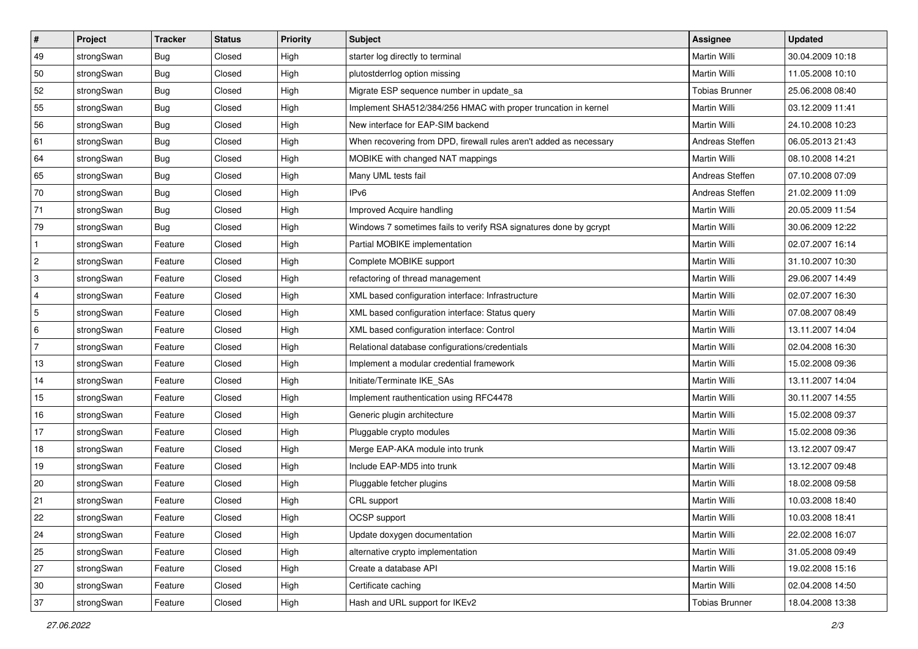| $\vert$ #    | Project    | <b>Tracker</b> | <b>Status</b> | <b>Priority</b> | <b>Subject</b>                                                     | <b>Assignee</b>       | <b>Updated</b>   |
|--------------|------------|----------------|---------------|-----------------|--------------------------------------------------------------------|-----------------------|------------------|
| 49           | strongSwan | Bug            | Closed        | High            | starter log directly to terminal                                   | Martin Willi          | 30.04.2009 10:18 |
| 50           | strongSwan | Bug            | Closed        | High            | plutostderrlog option missing                                      | <b>Martin Willi</b>   | 11.05.2008 10:10 |
| 52           | strongSwan | <b>Bug</b>     | Closed        | High            | Migrate ESP sequence number in update sa                           | <b>Tobias Brunner</b> | 25.06.2008 08:40 |
| 55           | strongSwan | <b>Bug</b>     | Closed        | High            | Implement SHA512/384/256 HMAC with proper truncation in kernel     | Martin Willi          | 03.12.2009 11:41 |
| 56           | strongSwan | Bug            | Closed        | High            | New interface for EAP-SIM backend                                  | Martin Willi          | 24.10.2008 10:23 |
| 61           | strongSwan | Bug            | Closed        | High            | When recovering from DPD, firewall rules aren't added as necessary | Andreas Steffen       | 06.05.2013 21:43 |
| 64           | strongSwan | Bug            | Closed        | High            | MOBIKE with changed NAT mappings                                   | <b>Martin Willi</b>   | 08.10.2008 14:21 |
| 65           | strongSwan | Bug            | Closed        | High            | Many UML tests fail                                                | Andreas Steffen       | 07.10.2008 07:09 |
| 70           | strongSwan | <b>Bug</b>     | Closed        | High            | IP <sub>v6</sub>                                                   | Andreas Steffen       | 21.02.2009 11:09 |
| 71           | strongSwan | Bug            | Closed        | High            | Improved Acquire handling                                          | Martin Willi          | 20.05.2009 11:54 |
| 79           | strongSwan | Bug            | Closed        | High            | Windows 7 sometimes fails to verify RSA signatures done by gcrypt  | Martin Willi          | 30.06.2009 12:22 |
| $\mathbf{1}$ | strongSwan | Feature        | Closed        | High            | Partial MOBIKE implementation                                      | Martin Willi          | 02.07.2007 16:14 |
| 2            | strongSwan | Feature        | Closed        | High            | Complete MOBIKE support                                            | <b>Martin Willi</b>   | 31.10.2007 10:30 |
| 3            | strongSwan | Feature        | Closed        | High            | refactoring of thread management                                   | Martin Willi          | 29.06.2007 14:49 |
| 4            | strongSwan | Feature        | Closed        | High            | XML based configuration interface: Infrastructure                  | <b>Martin Willi</b>   | 02.07.2007 16:30 |
| 5            | strongSwan | Feature        | Closed        | High            | XML based configuration interface: Status query                    | Martin Willi          | 07.08.2007 08:49 |
| 6            | strongSwan | Feature        | Closed        | High            | XML based configuration interface: Control                         | <b>Martin Willi</b>   | 13.11.2007 14:04 |
| 7            | strongSwan | Feature        | Closed        | High            | Relational database configurations/credentials                     | Martin Willi          | 02.04.2008 16:30 |
| 13           | strongSwan | Feature        | Closed        | High            | Implement a modular credential framework                           | Martin Willi          | 15.02.2008 09:36 |
| 14           | strongSwan | Feature        | Closed        | High            | Initiate/Terminate IKE_SAs                                         | <b>Martin Willi</b>   | 13.11.2007 14:04 |
| 15           | strongSwan | Feature        | Closed        | High            | Implement rauthentication using RFC4478                            | Martin Willi          | 30.11.2007 14:55 |
| 16           | strongSwan | Feature        | Closed        | High            | Generic plugin architecture                                        | Martin Willi          | 15.02.2008 09:37 |
| 17           | strongSwan | Feature        | Closed        | High            | Pluggable crypto modules                                           | Martin Willi          | 15.02.2008 09:36 |
| 18           | strongSwan | Feature        | Closed        | High            | Merge EAP-AKA module into trunk                                    | Martin Willi          | 13.12.2007 09:47 |
| 19           | strongSwan | Feature        | Closed        | High            | Include EAP-MD5 into trunk                                         | Martin Willi          | 13.12.2007 09:48 |
| 20           | strongSwan | Feature        | Closed        | High            | Pluggable fetcher plugins                                          | Martin Willi          | 18.02.2008 09:58 |
| 21           | strongSwan | Feature        | Closed        | High            | CRL support                                                        | Martin Willi          | 10.03.2008 18:40 |
| 22           | strongSwan | Feature        | Closed        | High            | OCSP support                                                       | Martin Willi          | 10.03.2008 18:41 |
| 24           | strongSwan | Feature        | Closed        | High            | Update doxygen documentation                                       | Martin Willi          | 22.02.2008 16:07 |
| 25           | strongSwan | Feature        | Closed        | High            | alternative crypto implementation                                  | Martin Willi          | 31.05.2008 09:49 |
| 27           | strongSwan | Feature        | Closed        | High            | Create a database API                                              | Martin Willi          | 19.02.2008 15:16 |
| 30           | strongSwan | Feature        | Closed        | High            | Certificate caching                                                | Martin Willi          | 02.04.2008 14:50 |
| 37           | strongSwan | Feature        | Closed        | High            | Hash and URL support for IKEv2                                     | <b>Tobias Brunner</b> | 18.04.2008 13:38 |